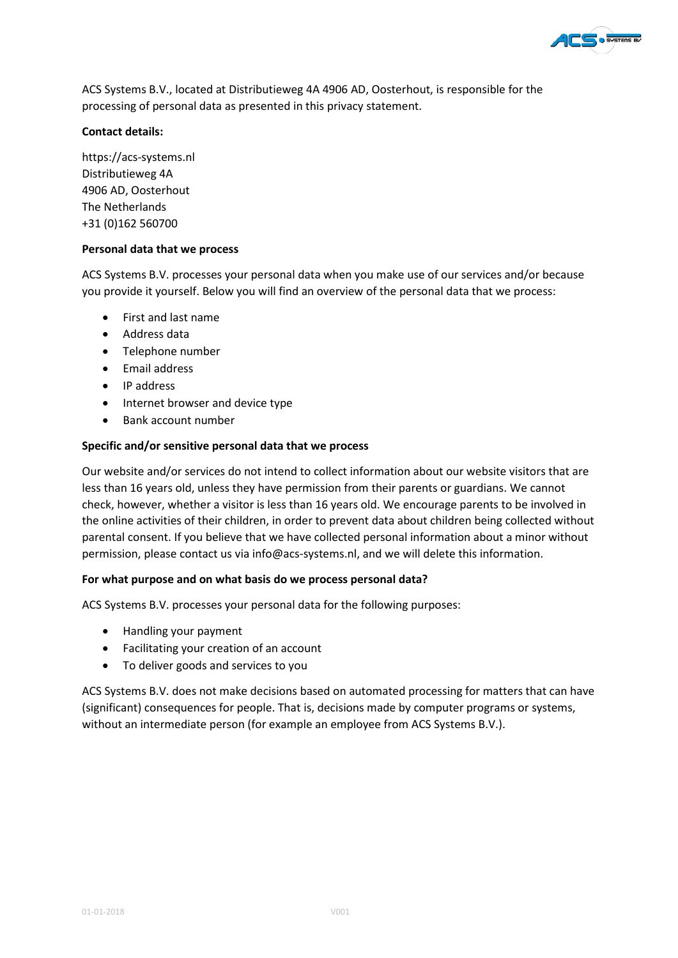

ACS Systems B.V., located at Distributieweg 4A 4906 AD, Oosterhout, is responsible for the processing of personal data as presented in this privacy statement.

# **Contact details:**

https://acs-systems.nl Distributieweg 4A 4906 AD, Oosterhout The Netherlands +31 (0)162 560700

## **Personal data that we process**

ACS Systems B.V. processes your personal data when you make use of our services and/or because you provide it yourself. Below you will find an overview of the personal data that we process:

- First and last name
- Address data
- Telephone number
- Email address
- IP address
- Internet browser and device type
- Bank account number

## **Specific and/or sensitive personal data that we process**

Our website and/or services do not intend to collect information about our website visitors that are less than 16 years old, unless they have permission from their parents or guardians. We cannot check, however, whether a visitor is less than 16 years old. We encourage parents to be involved in the online activities of their children, in order to prevent data about children being collected without parental consent. If you believe that we have collected personal information about a minor without permission, please contact us via info@acs-systems.nl, and we will delete this information.

## **For what purpose and on what basis do we process personal data?**

ACS Systems B.V. processes your personal data for the following purposes:

- Handling your payment
- Facilitating your creation of an account
- To deliver goods and services to you

ACS Systems B.V. does not make decisions based on automated processing for matters that can have (significant) consequences for people. That is, decisions made by computer programs or systems, without an intermediate person (for example an employee from ACS Systems B.V.).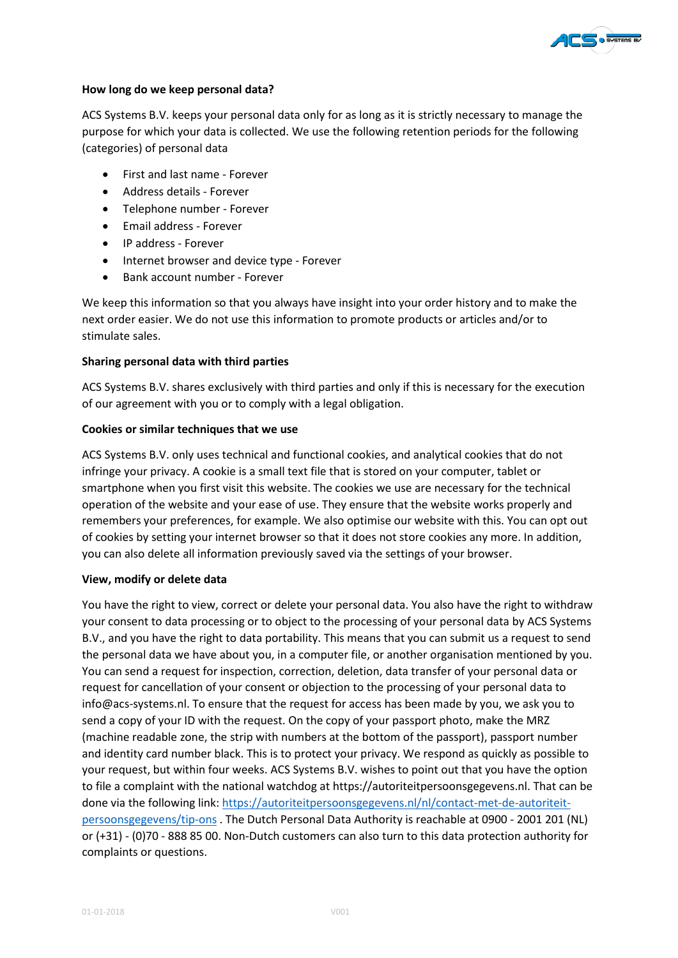

## **How long do we keep personal data?**

ACS Systems B.V. keeps your personal data only for as long as it is strictly necessary to manage the purpose for which your data is collected. We use the following retention periods for the following (categories) of personal data

- First and last name Forever
- Address details Forever
- Telephone number Forever
- Email address Forever
- IP address Forever
- Internet browser and device type Forever
- Bank account number Forever

We keep this information so that you always have insight into your order history and to make the next order easier. We do not use this information to promote products or articles and/or to stimulate sales.

#### **Sharing personal data with third parties**

ACS Systems B.V. shares exclusively with third parties and only if this is necessary for the execution of our agreement with you or to comply with a legal obligation.

#### **Cookies or similar techniques that we use**

ACS Systems B.V. only uses technical and functional cookies, and analytical cookies that do not infringe your privacy. A cookie is a small text file that is stored on your computer, tablet or smartphone when you first visit this website. The cookies we use are necessary for the technical operation of the website and your ease of use. They ensure that the website works properly and remembers your preferences, for example. We also optimise our website with this. You can opt out of cookies by setting your internet browser so that it does not store cookies any more. In addition, you can also delete all information previously saved via the settings of your browser.

### **View, modify or delete data**

You have the right to view, correct or delete your personal data. You also have the right to withdraw your consent to data processing or to object to the processing of your personal data by ACS Systems B.V., and you have the right to data portability. This means that you can submit us a request to send the personal data we have about you, in a computer file, or another organisation mentioned by you. You can send a request for inspection, correction, deletion, data transfer of your personal data or request for cancellation of your consent or objection to the processing of your personal data to info@acs-systems.nl. To ensure that the request for access has been made by you, we ask you to send a copy of your ID with the request. On the copy of your passport photo, make the MRZ (machine readable zone, the strip with numbers at the bottom of the passport), passport number and identity card number black. This is to protect your privacy. We respond as quickly as possible to your request, but within four weeks. ACS Systems B.V. wishes to point out that you have the option to file a complaint with the national watchdog at https://autoriteitpersoonsgegevens.nl. That can be done via the following link: [https://autoriteitpersoonsgegevens.nl/nl/contact-met-de-autoriteit](https://autoriteitpersoonsgegevens.nl/nl/contact-met-de-autoriteit-persoonsgegevens/tip-ons)[persoonsgegevens/tip-ons](https://autoriteitpersoonsgegevens.nl/nl/contact-met-de-autoriteit-persoonsgegevens/tip-ons) . The Dutch Personal Data Authority is reachable at 0900 - 2001 201 (NL) or (+31) - (0)70 - 888 85 00. Non-Dutch customers can also turn to this data protection authority for complaints or questions.